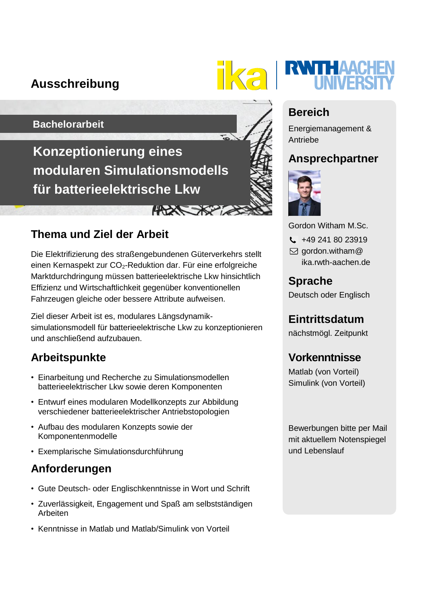# **Ausschreibung**



#### **Bachelorarbeit**

**Konzeptionierung eines modularen Simulationsmodells für batterieelektrische Lkw**

### **Thema und Ziel der Arbeit**

Die Elektrifizierung des straßengebundenen Güterverkehrs stellt einen Kernaspekt zur CO<sub>2</sub>-Reduktion dar. Für eine erfolgreiche Marktdurchdringung müssen batterieelektrische Lkw hinsichtlich Effizienz und Wirtschaftlichkeit gegenüber konventionellen Fahrzeugen gleiche oder bessere Attribute aufweisen.

**HARRY XXX** 

Ziel dieser Arbeit ist es, modulares Längsdynamiksimulationsmodell für batterieelektrische Lkw zu konzeptionieren und anschließend aufzubauen.

# **Arbeitspunkte**

- Einarbeitung und Recherche zu Simulationsmodellen batterieelektrischer Lkw sowie deren Komponenten
- Entwurf eines modularen Modellkonzepts zur Abbildung verschiedener batterieelektrischer Antriebstopologien
- Aufbau des modularen Konzepts sowie der Komponentenmodelle
- Exemplarische Simulationsdurchführung

## **Anforderungen**

- Gute Deutsch- oder Englischkenntnisse in Wort und Schrift
- Zuverlässigkeit, Engagement und Spaß am selbstständigen Arbeiten
- Kenntnisse in Matlab und Matlab/Simulink von Vorteil

# **Bereich**

Energiemanagement & Antriebe

## **Ansprechpartner**



Gordon Witham M.Sc.

- $\frac{1}{2}$  +49 241 80 23919
- $\boxdot$  gordon.witham@ ika.rwth-aachen.de

# **Sprache**

Deutsch oder Englisch

**Eintrittsdatum**

nächstmögl. Zeitpunkt

# **Vorkenntnisse**

Matlab (von Vorteil) Simulink (von Vorteil)

Bewerbungen bitte per Mail mit aktuellem Notenspiegel und Lebenslauf